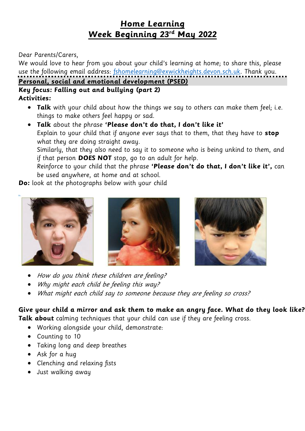# **Home Learning Week Beginning 23rd May 2022**

#### Dear Parents/Carers,

We would love to hear from you about your child's learning at home; to share this, please use the following email address: [fshomelearning@exwickheights.devon.sch.uk.](mailto:fshomelearning@exwickheights.devon.sch.uk) Thank you.

#### **Personal, social and emotional development (PSED)**

#### **Key focus: Falling out and bullying (part 2) Activities:**

- **Talk** with your child about how the things we say to others can make them feel; i.e. things to make others feel happy or sad.
- **Talk** about the phrase **'Please don't do that, I don't like it'** Explain to your child that if anyone ever says that to them, that they have to **stop** what they are doing straight away.

Similarly, that they also need to say it to someone who is being unkind to them, and if that person **DOES NOT** stop, go to an adult for help.

Reinforce to your child that the phrase **'Please don't do that, I don't like it',** can be used anywhere, at home and at school.

**Do:** look at the photographs below with your child





- How do you think these children are feeling?
- Why might each child be feeling this way?
- What might each child say to someone because they are feeling so cross?

**Give your child a mirror and ask them to make an angry face. What do they look like? Talk about** calming techniques that your child can use if they are feeling cross.

- Working alongside your child, demonstrate:
- Counting to 10
- Taking long and deep breathes
- Ask for a hug
- Clenching and relaxing fists
- Just walking away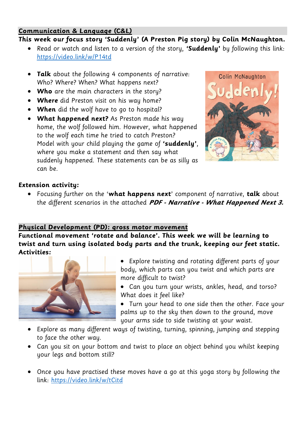#### **Communication & Language (C&L)**

### **This week our focus story 'Suddenly' (A Preston Pig story) by Colin McNaughton.**

- Read or watch and listen to a version of the story, **'Suddenly'** by following this link: <https://video.link/w/P14td>
- **Talk** about the following 4 components of narrative: Who? Where? When? What happens next?
- **Who** are the main characters in the story?
- **Where** did Preston visit on his way home?
- **When** did the wolf have to go to hospital?
- **What happened next?** As Preston made his way home, the wolf followed him. However, what happened to the wolf each time he tried to catch Preston? Model with your child playing the game of **'suddenly'**, where you make a statement and then say what suddenly happened. These statements can be as silly as can be.



#### **Extension activity:**

 Focusing further on the '**what happens next**' component of narrative, **talk** about the different scenarios in the attached **PDF - Narrative - What Happened Next 3.**

### **Physical Development (PD): gross motor movement**

**Functional movement 'rotate and balance'. This week we will be learning to twist and turn using isolated body parts and the trunk, keeping our feet static. Activities:** 



• Explore twisting and rotating different parts of your body, which parts can you twist and which parts are more difficult to twist?

 Can you turn your wrists, ankles, head, and torso? What does it feel like?

- Turn your head to one side then the other. Face your palms up to the sky then down to the ground, move your arms side to side twisting at your waist.
- Explore as many different ways of twisting, turning, spinning, jumping and stepping to face the other way.
- Can you sit on your bottom and twist to place an object behind you whilst keeping your legs and bottom still?
- Once you have practised these moves have a go at this yoga story by following the link:<https://video.link/w/tCitd>